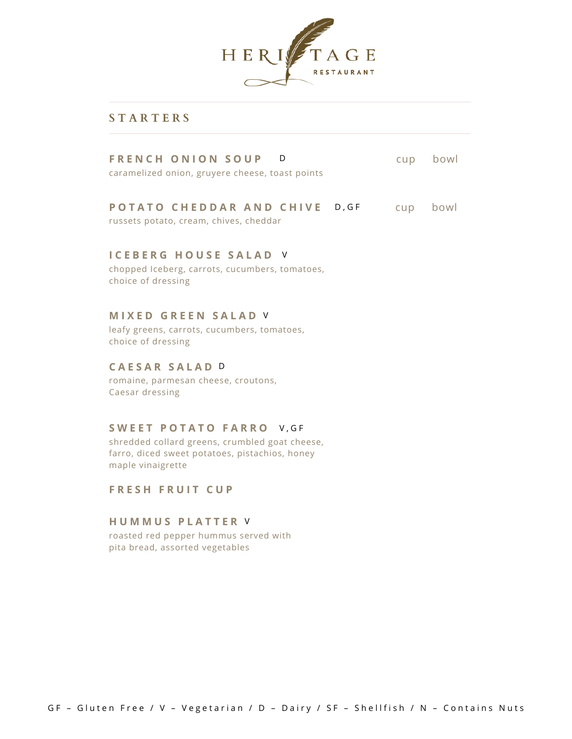

## **S T A R T E R S**

| FRENCH ONION SOUP D<br>caramelized onion, gruyere cheese, toast points  | cup      | bowl |
|-------------------------------------------------------------------------|----------|------|
| POTATO CHEDDAR AND CHIVE D.GF<br>russets potato, cream, chives, cheddar | cup bowl |      |
| <b>ICEBERG HOUSE SALAD V</b>                                            |          |      |

chopped Iceberg, carrots, cucumbers, tomatoes, choice of dressing

## **M I X E D G R E E N S A L A D** V

leafy greens, carrots, cucumbers, tomatoes, choice of dressing

### **C A E S A R S A L A D** D

romaine, parmesan cheese, croutons, Caesar dressing

#### **S W E E T P O T A T O F A R R O** V , G F

shredded collard greens, crumbled goat cheese, farro, diced sweet potatoes, pistachios, honey maple vinaigrette

**F R E S H F R U I T C U P**

#### **H U M M U S P L A T T E R** V

roasted red pepper hummus served with pita bread, assorted vegetables